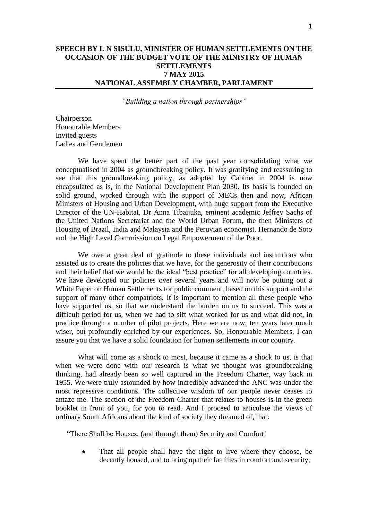# **SPEECH BY L N SISULU, MINISTER OF HUMAN SETTLEMENTS ON THE OCCASION OF THE BUDGET VOTE OF THE MINISTRY OF HUMAN SETTLEMENTS 7 MAY 2015 NATIONAL ASSEMBLY CHAMBER, PARLIAMENT**

*"Building a nation through partnerships"*

Chairperson Honourable Members Invited guests Ladies and Gentlemen

We have spent the better part of the past year consolidating what we conceptualised in 2004 as groundbreaking policy. It was gratifying and reassuring to see that this groundbreaking policy, as adopted by Cabinet in 2004 is now encapsulated as is, in the National Development Plan 2030. Its basis is founded on solid ground, worked through with the support of MECs then and now, African Ministers of Housing and Urban Development, with huge support from the Executive Director of the UN-Habitat, Dr Anna Tibaijuka, eminent academic Jeffrey Sachs of the United Nations Secretariat and the World Urban Forum, the then Ministers of Housing of Brazil, India and Malaysia and the Peruvian economist, Hernando de Soto and the High Level Commission on Legal Empowerment of the Poor.

We owe a great deal of gratitude to these individuals and institutions who assisted us to create the policies that we have, for the generosity of their contributions and their belief that we would be the ideal "best practice" for all developing countries. We have developed our policies over several years and will now be putting out a White Paper on Human Settlements for public comment, based on this support and the support of many other compatriots. It is important to mention all these people who have supported us, so that we understand the burden on us to succeed. This was a difficult period for us, when we had to sift what worked for us and what did not, in practice through a number of pilot projects. Here we are now, ten years later much wiser, but profoundly enriched by our experiences. So, Honourable Members, I can assure you that we have a solid foundation for human settlements in our country.

What will come as a shock to most, because it came as a shock to us, is that when we were done with our research is what we thought was groundbreaking thinking, had already been so well captured in the Freedom Charter, way back in 1955. We were truly astounded by how incredibly advanced the ANC was under the most repressive conditions. The collective wisdom of our people never ceases to amaze me. The section of the Freedom Charter that relates to houses is in the green booklet in front of you, for you to read. And I proceed to articulate the views of ordinary South Africans about the kind of society they dreamed of, that:

"There Shall be Houses, (and through them) Security and Comfort!

 That all people shall have the right to live where they choose, be decently housed, and to bring up their families in comfort and security;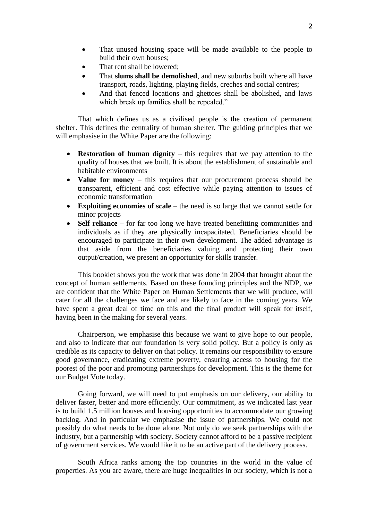- That unused housing space will be made available to the people to build their own houses;
- That rent shall be lowered;
- That **slums shall be demolished**, and new suburbs built where all have transport, roads, lighting, playing fields, creches and social centres;
- And that fenced locations and ghettoes shall be abolished, and laws which break up families shall be repealed."

That which defines us as a civilised people is the creation of permanent shelter. This defines the centrality of human shelter. The guiding principles that we will emphasise in the White Paper are the following:

- **Restoration of human dignity** this requires that we pay attention to the quality of houses that we built. It is about the establishment of sustainable and habitable environments
- **Value for money** this requires that our procurement process should be transparent, efficient and cost effective while paying attention to issues of economic transformation
- **Exploiting economies of scale** the need is so large that we cannot settle for minor projects
- **Self reliance** for far too long we have treated benefitting communities and individuals as if they are physically incapacitated. Beneficiaries should be encouraged to participate in their own development. The added advantage is that aside from the beneficiaries valuing and protecting their own output/creation, we present an opportunity for skills transfer.

This booklet shows you the work that was done in 2004 that brought about the concept of human settlements. Based on these founding principles and the NDP, we are confident that the White Paper on Human Settlements that we will produce, will cater for all the challenges we face and are likely to face in the coming years. We have spent a great deal of time on this and the final product will speak for itself, having been in the making for several years.

Chairperson, we emphasise this because we want to give hope to our people, and also to indicate that our foundation is very solid policy. But a policy is only as credible as its capacity to deliver on that policy. It remains our responsibility to ensure good governance, eradicating extreme poverty, ensuring access to housing for the poorest of the poor and promoting partnerships for development. This is the theme for our Budget Vote today.

Going forward, we will need to put emphasis on our delivery, our ability to deliver faster, better and more efficiently. Our commitment, as we indicated last year is to build 1.5 million houses and housing opportunities to accommodate our growing backlog. And in particular we emphasise the issue of partnerships. We could not possibly do what needs to be done alone. Not only do we seek partnerships with the industry, but a partnership with society. Society cannot afford to be a passive recipient of government services. We would like it to be an active part of the delivery process.

South Africa ranks among the top countries in the world in the value of properties. As you are aware, there are huge inequalities in our society, which is not a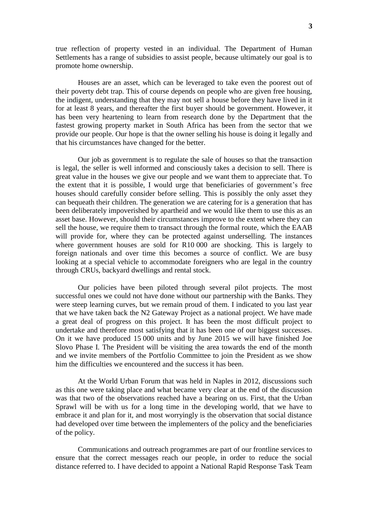true reflection of property vested in an individual. The Department of Human Settlements has a range of subsidies to assist people, because ultimately our goal is to promote home ownership.

Houses are an asset, which can be leveraged to take even the poorest out of their poverty debt trap. This of course depends on people who are given free housing, the indigent, understanding that they may not sell a house before they have lived in it for at least 8 years, and thereafter the first buyer should be government. However, it has been very heartening to learn from research done by the Department that the fastest growing property market in South Africa has been from the sector that we provide our people. Our hope is that the owner selling his house is doing it legally and that his circumstances have changed for the better.

Our job as government is to regulate the sale of houses so that the transaction is legal, the seller is well informed and consciously takes a decision to sell. There is great value in the houses we give our people and we want them to appreciate that. To the extent that it is possible, I would urge that beneficiaries of government's free houses should carefully consider before selling. This is possibly the only asset they can bequeath their children. The generation we are catering for is a generation that has been deliberately impoverished by apartheid and we would like them to use this as an asset base. However, should their circumstances improve to the extent where they can sell the house, we require them to transact through the formal route, which the EAAB will provide for, where they can be protected against underselling. The instances where government houses are sold for R10 000 are shocking. This is largely to foreign nationals and over time this becomes a source of conflict. We are busy looking at a special vehicle to accommodate foreigners who are legal in the country through CRUs, backyard dwellings and rental stock.

Our policies have been piloted through several pilot projects. The most successful ones we could not have done without our partnership with the Banks. They were steep learning curves, but we remain proud of them. I indicated to you last year that we have taken back the N2 Gateway Project as a national project. We have made a great deal of progress on this project. It has been the most difficult project to undertake and therefore most satisfying that it has been one of our biggest successes. On it we have produced 15 000 units and by June 2015 we will have finished Joe Slovo Phase I. The President will be visiting the area towards the end of the month and we invite members of the Portfolio Committee to join the President as we show him the difficulties we encountered and the success it has been.

At the World Urban Forum that was held in Naples in 2012, discussions such as this one were taking place and what became very clear at the end of the discussion was that two of the observations reached have a bearing on us. First, that the Urban Sprawl will be with us for a long time in the developing world, that we have to embrace it and plan for it, and most worryingly is the observation that social distance had developed over time between the implementers of the policy and the beneficiaries of the policy.

Communications and outreach programmes are part of our frontline services to ensure that the correct messages reach our people, in order to reduce the social distance referred to. I have decided to appoint a National Rapid Response Task Team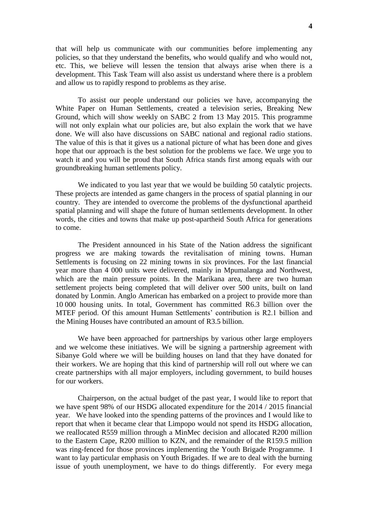that will help us communicate with our communities before implementing any policies, so that they understand the benefits, who would qualify and who would not, etc. This, we believe will lessen the tension that always arise when there is a development. This Task Team will also assist us understand where there is a problem and allow us to rapidly respond to problems as they arise.

To assist our people understand our policies we have, accompanying the White Paper on Human Settlements, created a television series, Breaking New Ground, which will show weekly on SABC 2 from 13 May 2015. This programme will not only explain what our policies are, but also explain the work that we have done. We will also have discussions on SABC national and regional radio stations. The value of this is that it gives us a national picture of what has been done and gives hope that our approach is the best solution for the problems we face. We urge you to watch it and you will be proud that South Africa stands first among equals with our groundbreaking human settlements policy.

We indicated to you last year that we would be building 50 catalytic projects. These projects are intended as game changers in the process of spatial planning in our country. They are intended to overcome the problems of the dysfunctional apartheid spatial planning and will shape the future of human settlements development. In other words, the cities and towns that make up post-apartheid South Africa for generations to come.

The President announced in his State of the Nation address the significant progress we are making towards the revitalisation of mining towns. Human Settlements is focusing on 22 mining towns in six provinces. For the last financial year more than 4 000 units were delivered, mainly in Mpumalanga and Northwest, which are the main pressure points. In the Marikana area, there are two human settlement projects being completed that will deliver over 500 units, built on land donated by Lonmin. Anglo American has embarked on a project to provide more than 10 000 housing units. In total, Government has committed R6.3 billion over the MTEF period. Of this amount Human Settlements' contribution is R2.1 billion and the Mining Houses have contributed an amount of R3.5 billion.

We have been approached for partnerships by various other large employers and we welcome these initiatives. We will be signing a partnership agreement with Sibanye Gold where we will be building houses on land that they have donated for their workers. We are hoping that this kind of partnership will roll out where we can create partnerships with all major employers, including government, to build houses for our workers.

Chairperson, on the actual budget of the past year, I would like to report that we have spent 98% of our HSDG allocated expenditure for the 2014 / 2015 financial year. We have looked into the spending patterns of the provinces and I would like to report that when it became clear that Limpopo would not spend its HSDG allocation, we reallocated R559 million through a MinMec decision and allocated R200 million to the Eastern Cape, R200 million to KZN, and the remainder of the R159.5 million was ring-fenced for those provinces implementing the Youth Brigade Programme. I want to lay particular emphasis on Youth Brigades. If we are to deal with the burning issue of youth unemployment, we have to do things differently. For every mega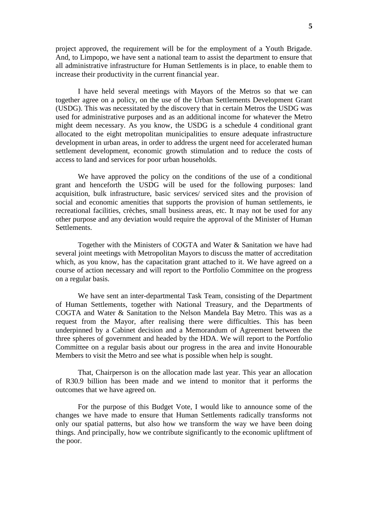project approved, the requirement will be for the employment of a Youth Brigade. And, to Limpopo, we have sent a national team to assist the department to ensure that all administrative infrastructure for Human Settlements is in place, to enable them to increase their productivity in the current financial year.

I have held several meetings with Mayors of the Metros so that we can together agree on a policy, on the use of the Urban Settlements Development Grant (USDG). This was necessitated by the discovery that in certain Metros the USDG was used for administrative purposes and as an additional income for whatever the Metro might deem necessary. As you know, the USDG is a schedule 4 conditional grant allocated to the eight metropolitan municipalities to ensure adequate infrastructure development in urban areas, in order to address the urgent need for accelerated human settlement development, economic growth stimulation and to reduce the costs of access to land and services for poor urban households.

We have approved the policy on the conditions of the use of a conditional grant and henceforth the USDG will be used for the following purposes: land acquisition, bulk infrastructure, basic services/ serviced sites and the provision of social and economic amenities that supports the provision of human settlements, ie recreational facilities, crèches, small business areas, etc. It may not be used for any other purpose and any deviation would require the approval of the Minister of Human Settlements.

Together with the Ministers of COGTA and Water & Sanitation we have had several joint meetings with Metropolitan Mayors to discuss the matter of accreditation which, as you know, has the capacitation grant attached to it. We have agreed on a course of action necessary and will report to the Portfolio Committee on the progress on a regular basis.

We have sent an inter-departmental Task Team, consisting of the Department of Human Settlements, together with National Treasury, and the Departments of COGTA and Water & Sanitation to the Nelson Mandela Bay Metro. This was as a request from the Mayor, after realising there were difficulties. This has been underpinned by a Cabinet decision and a Memorandum of Agreement between the three spheres of government and headed by the HDA. We will report to the Portfolio Committee on a regular basis about our progress in the area and invite Honourable Members to visit the Metro and see what is possible when help is sought.

That, Chairperson is on the allocation made last year. This year an allocation of R30.9 billion has been made and we intend to monitor that it performs the outcomes that we have agreed on.

For the purpose of this Budget Vote, I would like to announce some of the changes we have made to ensure that Human Settlements radically transforms not only our spatial patterns, but also how we transform the way we have been doing things. And principally, how we contribute significantly to the economic upliftment of the poor.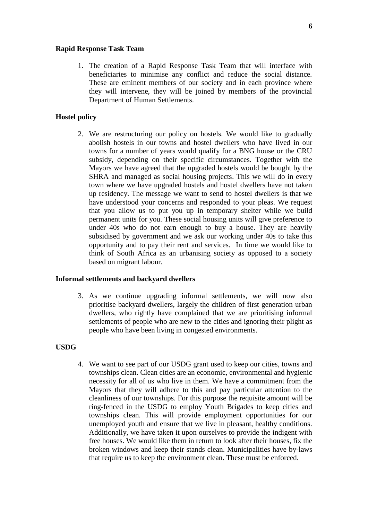### **Rapid Response Task Team**

1. The creation of a Rapid Response Task Team that will interface with beneficiaries to minimise any conflict and reduce the social distance. These are eminent members of our society and in each province where they will intervene, they will be joined by members of the provincial Department of Human Settlements.

### **Hostel policy**

2. We are restructuring our policy on hostels. We would like to gradually abolish hostels in our towns and hostel dwellers who have lived in our towns for a number of years would qualify for a BNG house or the CRU subsidy, depending on their specific circumstances. Together with the Mayors we have agreed that the upgraded hostels would be bought by the SHRA and managed as social housing projects. This we will do in every town where we have upgraded hostels and hostel dwellers have not taken up residency. The message we want to send to hostel dwellers is that we have understood your concerns and responded to your pleas. We request that you allow us to put you up in temporary shelter while we build permanent units for you. These social housing units will give preference to under 40s who do not earn enough to buy a house. They are heavily subsidised by government and we ask our working under 40s to take this opportunity and to pay their rent and services. In time we would like to think of South Africa as an urbanising society as opposed to a society based on migrant labour.

#### **Informal settlements and backyard dwellers**

3. As we continue upgrading informal settlements, we will now also prioritise backyard dwellers, largely the children of first generation urban dwellers, who rightly have complained that we are prioritising informal settlements of people who are new to the cities and ignoring their plight as people who have been living in congested environments.

### **USDG**

4. We want to see part of our USDG grant used to keep our cities, towns and townships clean. Clean cities are an economic, environmental and hygienic necessity for all of us who live in them. We have a commitment from the Mayors that they will adhere to this and pay particular attention to the cleanliness of our townships. For this purpose the requisite amount will be ring-fenced in the USDG to employ Youth Brigades to keep cities and townships clean. This will provide employment opportunities for our unemployed youth and ensure that we live in pleasant, healthy conditions. Additionally, we have taken it upon ourselves to provide the indigent with free houses. We would like them in return to look after their houses, fix the broken windows and keep their stands clean. Municipalities have by-laws that require us to keep the environment clean. These must be enforced.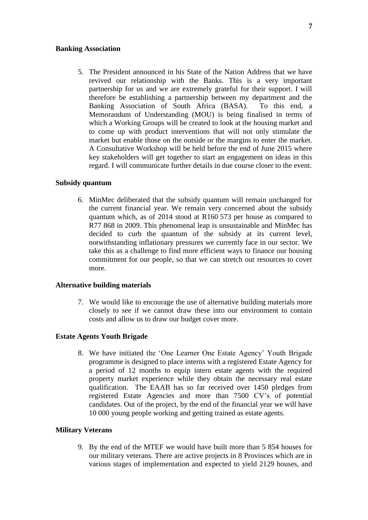### **Banking Association**

5. The President announced in his State of the Nation Address that we have revived our relationship with the Banks. This is a very important partnership for us and we are extremely grateful for their support. I will therefore be establishing a partnership between my department and the Banking Association of South Africa (BASA). To this end, a Memorandum of Understanding (MOU) is being finalised in terms of which a Working Groups will be created to look at the housing market and to come up with product interventions that will not only stimulate the market but enable those on the outside or the margins to enter the market. A Consultative Workshop will be held before the end of June 2015 where key stakeholders will get together to start an engagement on ideas in this regard. I will communicate further details in due course closer to the event.

## **Subsidy quantum**

6. MinMec deliberated that the subsidy quantum will remain unchanged for the current financial year. We remain very concerned about the subsidy quantum which, as of 2014 stood at R160 573 per house as compared to R77 868 in 2009. This phenomenal leap is unsustainable and MinMec has decided to curb the quantum of the subsidy at its current level, notwithstanding inflationary pressures we currently face in our sector. We take this as a challenge to find more efficient ways to finance our housing commitment for our people, so that we can stretch our resources to cover more.

#### **Alternative building materials**

7. We would like to encourage the use of alternative building materials more closely to see if we cannot draw these into our environment to contain costs and allow us to draw our budget cover more.

#### **Estate Agents Youth Brigade**

8. We have initiated the 'One Learner One Estate Agency' Youth Brigade programme is designed to place interns with a registered Estate Agency for a period of 12 months to equip intern estate agents with the required property market experience while they obtain the necessary real estate qualification. The EAAB has so far received over 1450 pledges from registered Estate Agencies and more than 7500 CV's of potential candidates. Out of the project, by the end of the financial year we will have 10 000 young people working and getting trained as estate agents.

## **Military Veterans**

9. By the end of the MTEF we would have built more than 5 854 houses for our military veterans. There are active projects in 8 Provinces which are in various stages of implementation and expected to yield 2129 houses, and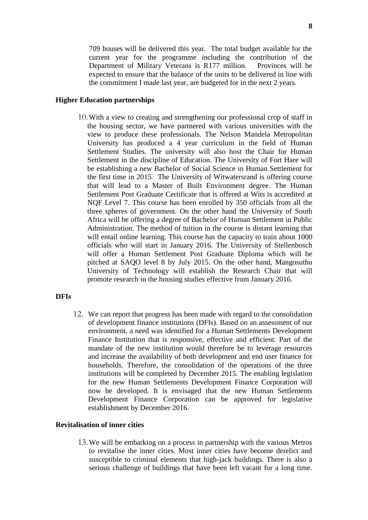709 houses will be delivered this year. The total budget available for the current year for the programme including the contribution of the Department of Military Veterans is R177 million. Provinces will be expected to ensure that the balance of the units to be delivered in line with the commitment I made last year, are budgeted for in the next 2 years.

### **Higher Education partnerships**

10.With a view to creating and strengthening our professional crop of staff in the housing sector, we have partnered with various universities with the view to produce these professionals. The Nelson Mandela Metropolitan University has produced a 4 year curriculum in the field of Human Settlement Studies. The university will also host the Chair for Human Settlement in the discipline of Education. The University of Fort Hare will be establishing a new Bachelor of Social Science in Human Settlement for the first time in 2015. The University of Witwatersrand is offering course that will lead to a Master of Built Environment degree. The Human Settlement Post Graduate Certificate that is offered at Wits is accredited at NQF Level 7. This course has been enrolled by 350 officials from all the three spheres of government. On the other hand the University of South Africa will be offering a degree of Bachelor of Human Settlement in Public Administration. The method of tuition in the course is distant learning that will entail online learning. This course has the capacity to train about 1000 officials who will start in January 2016. The University of Stellenbosch will offer a Human Settlement Post Graduate Diploma which will be pitched at SAQO level 8 by July 2015. On the other hand, Mangosuthu University of Technology will establish the Research Chair that will promote research in the housing studies effective from January 2016.

### **DFIs**

12. We can report that progress has been made with regard to the consolidation of development finance institutions (DFIs). Based on an assessment of our environment, a need was identified for a Human Settlements Development Finance Institution that is responsive, effective and efficient. Part of the mandate of the new institution would therefore be to leverage resources and increase the availability of both development and end user finance for households. Therefore, the consolidation of the operations of the three institutions will be completed by December 2015. The enabling legislation for the new Human Settlements Development Finance Corporation will now be developed. It is envisaged that the new Human Settlements Development Finance Corporation can be approved for legislative establishment by December 2016.

# **Revitalisation of inner cities**

13.We will be embarking on a process in partnership with the various Metros to revitalise the inner cities. Most inner cities have become derelict and susceptible to criminal elements that high-jack buildings. There is also a serious challenge of buildings that have been left vacant for a long time.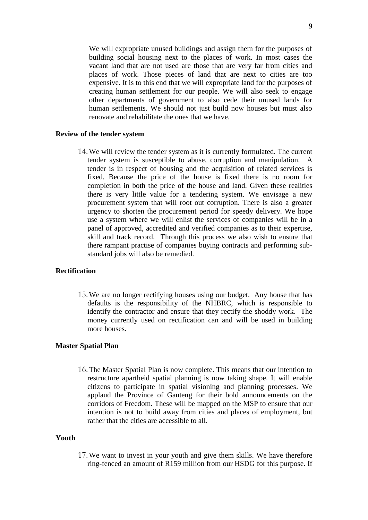We will expropriate unused buildings and assign them for the purposes of building social housing next to the places of work. In most cases the vacant land that are not used are those that are very far from cities and places of work. Those pieces of land that are next to cities are too expensive. It is to this end that we will expropriate land for the purposes of creating human settlement for our people. We will also seek to engage other departments of government to also cede their unused lands for human settlements. We should not just build now houses but must also renovate and rehabilitate the ones that we have.

#### **Review of the tender system**

14.We will review the tender system as it is currently formulated. The current tender system is susceptible to abuse, corruption and manipulation. A tender is in respect of housing and the acquisition of related services is fixed. Because the price of the house is fixed there is no room for completion in both the price of the house and land. Given these realities there is very little value for a tendering system. We envisage a new procurement system that will root out corruption. There is also a greater urgency to shorten the procurement period for speedy delivery. We hope use a system where we will enlist the services of companies will be in a panel of approved, accredited and verified companies as to their expertise, skill and track record. Through this process we also wish to ensure that there rampant practise of companies buying contracts and performing substandard jobs will also be remedied.

### **Rectification**

15.We are no longer rectifying houses using our budget. Any house that has defaults is the responsibility of the NHBRC, which is responsible to identify the contractor and ensure that they rectify the shoddy work. The money currently used on rectification can and will be used in building more houses.

## **Master Spatial Plan**

16.The Master Spatial Plan is now complete. This means that our intention to restructure apartheid spatial planning is now taking shape. It will enable citizens to participate in spatial visioning and planning processes. We applaud the Province of Gauteng for their bold announcements on the corridors of Freedom. These will be mapped on the MSP to ensure that our intention is not to build away from cities and places of employment, but rather that the cities are accessible to all.

# **Youth**

17.We want to invest in your youth and give them skills. We have therefore ring-fenced an amount of R159 million from our HSDG for this purpose. If